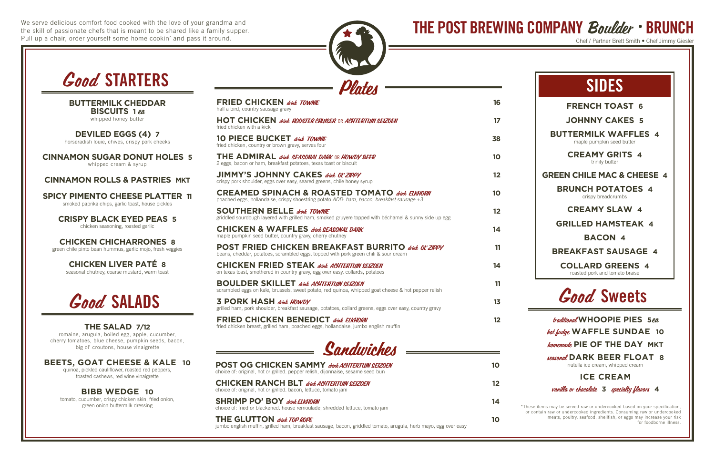We serve delicious comfort food cooked with the love of your grandma and the skill of passionate chefs that is meant to be shared like a family supper. Pull up a chair, order yourself some home cookin' and pass it around.





| <b>POST OG CHICKEN SAMMY drink ACHTERTUIN SEIZOEN</b><br>choice of: original, hot or grilled. pepper relish, dijonnaise, sesame seed bun | 10 |
|------------------------------------------------------------------------------------------------------------------------------------------|----|
| <b>CHICKEN RANCH BLT</b> drink ACHTERTUIN SEIZOEN<br>choice of: original, hot or grilled. bacon, lettuce, tomato jam                     |    |
| <b>SHRIMP PO' BOY</b> drink ELKHORN<br>choice of: fried or blackened. house remoulade, shredded lettuce, tomato jam                      | 14 |
| THE GLUTTON drink TOP ROPE                                                                                                               |    |

jumbo english muffin, grilled ham, breakfast sausage, bacon, griddled tomato, arugula, herb mayo, egg over easy

THE POST BREWING COMPANY *Boulder* • BRUNCH

Chef / Partner Brett Smith . Chef Jimmy Giesler

## **FRENCH TOAST 6**

**JOHNNY CAKES 5**

**BUTTERMILK WAFFLES 4** maple pumpkin seed butter

> **CREAMY GRITS 4** trinity butter

**GREEN CHILE MAC & CHEESE 4**

**BRUNCH POTATOES 4** crispy breadcrumbs

## **CREAMY SLAW 4**

**GRILLED HAMSTEAK 4**

## **BACON 4**

**BREAKFAST SAUSAGE 4**

**COLLARD GREENS 4** roasted pork and tomato braise

# SIDES

\*These items may be served raw or undercooked based on your specification, or contain raw or undercooked ingredients. Consuming raw or undercooked meats, poultry, seafood, shellfish, or eggs may increase your risk for foodborne illness.

| <b>FRIED CHICKEN</b> drink TOWNIE<br>half a bird, country sausage gravy                                                                                | 16 |
|--------------------------------------------------------------------------------------------------------------------------------------------------------|----|
| HOT CHICKEN <i>dink ROOSTER CRUISER</i> OR <i>ACHTERTUIN SEIZOEN</i><br>fried chicken with a kick                                                      | 17 |
| <b>10 PIECE BUCKET drink TOWNIE</b><br>fried chicken, country or brown gravy, serves four                                                              | 38 |
| THE ADMIRAL <i>dink. SEASONAL DARK</i> OR <i>HOWDY BEER</i><br>2 eggs, bacon or ham, breakfast potatoes, texas toast or biscuit                        | 10 |
| JIMMY'S JOHNNY CAKES dink 0L'ZIPPY<br>crispy pork shoulder, eggs over easy, seared greens, chile honey syrup                                           | 12 |
| CREAMED SPINACH & ROASTED TOMATO drink EIKH0RN<br>poached eggs, hollandaise, crispy shoestring potato ADD: ham, bacon, breakfast sausage +3            | 10 |
| SOUTHERN BELLE drink TOWNIE<br>griddled sourdough layered with grilled ham, smoked gruyere topped with béchamel & sunny side up egg                    | 12 |
| CHICKEN & WAFFLES drink SEASONAL DARK<br>maple pumpkin seed butter, country gravy, cherry chutney                                                      | 14 |
| POST FRIED CHICKEN BREAKFAST BURRITO drink 0L'ZIPPY<br>beans, cheddar, potatoes, scrambled eggs, topped with pork green chili & sour cream             | 11 |
| CHICKEN FRIED STEAK dink ACHTERTUIN SEIZOEN<br>on texas toast, smothered in country gravy, egg over easy, collards, potatoes                           | 14 |
| <b>BOULDER SKILLET</b> drink ACHTERTUIN SEIZOEN<br>scrambled eggs on kale, brussels, sweet potato, red quinoa, whipped goat cheese & hot pepper relish | 11 |
| 3 PORK HASH drink HOWDY<br>grilled ham, pork shoulder, breakfast sausage, potatoes, collard greens, eggs over easy, country gravy                      | 13 |
| FRIED CHICKEN BENEDICT drink EIKHORN<br>fried chicken breast, grilled ham, poached eggs, hollandaise, jumbo english muffin                             | 12 |

# Good STARTERS

**BUTTERMILK CHEDDAR BISCUITS 1** ea whipped honey butter

**DEVILED EGGS (4) 7** horseradish louie, chives, crispy pork cheeks

**CINNAMON SUGAR DONUT HOLES 5**

whipped cream & syrup

## **CINNAMON ROLLS & PASTRIES MKT**

**SPICY PIMENTO CHEESE PLATTER 11** smoked paprika chips, garlic toast, house pickles

**CRISPY BLACK EYED PEAS 5** chicken seasoning, roasted garlic

**CHICKEN CHICHARRONES 8** green chile pinto bean hummus, garlic mojo, fresh veggies

> **CHICKEN LIVER PATÉ 8** seasonal chutney, coarse mustard, warm toast



## **THE SALAD 7/12**

romaine, arugula, boiled egg, apple, cucumber, cherry tomatoes, blue cheese, pumpkin seeds, bacon, big ol' croutons, house vinaigrette

**BEETS, GOAT CHEESE & KALE 10**

quinoa, pickled cauliflower, roasted red peppers, toasted cashews, red wine vinaigrette

## **BIBB WEDGE 10**

tomato, cucumber, crispy chicken skin, fried onion, green onion buttermilk dressing

# Good Sweets

### traditional **WHOOPIE PIES 5**ea

hot fudge **WAFFLE SUNDAE 10**

homemade **PIE OF THE DAY MKT**

seasonal **DARK BEER FLOAT 8** nutella ice cream, whipped cream

## **ICE CREAM**

vanilla or chocolate **3** specialty flavors **4**